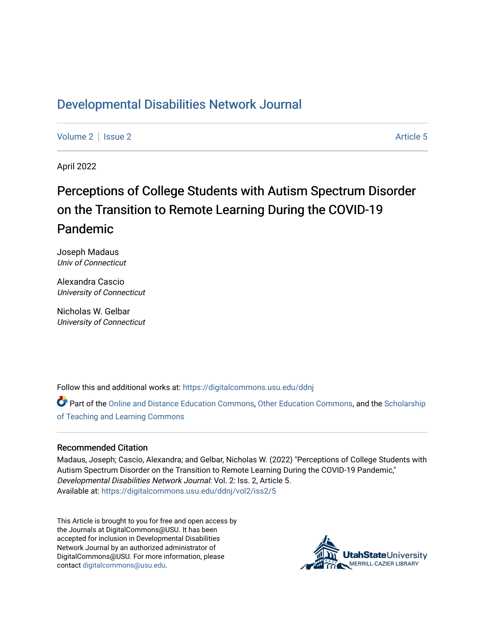## [Developmental Disabilities Network Journal](https://digitalcommons.usu.edu/ddnj)

[Volume 2](https://digitalcommons.usu.edu/ddnj/vol2) | [Issue 2](https://digitalcommons.usu.edu/ddnj/vol2/iss2) Article 5

April 2022

# Perceptions of College Students with Autism Spectrum Disorder on the Transition to Remote Learning During the COVID-19 Pandemic

Joseph Madaus Univ of Connecticut

Alexandra Cascio University of Connecticut

Nicholas W. Gelbar University of Connecticut

Follow this and additional works at: [https://digitalcommons.usu.edu/ddnj](https://digitalcommons.usu.edu/ddnj?utm_source=digitalcommons.usu.edu%2Fddnj%2Fvol2%2Fiss2%2F5&utm_medium=PDF&utm_campaign=PDFCoverPages) 

Part of the [Online and Distance Education Commons](http://network.bepress.com/hgg/discipline/1296?utm_source=digitalcommons.usu.edu%2Fddnj%2Fvol2%2Fiss2%2F5&utm_medium=PDF&utm_campaign=PDFCoverPages), [Other Education Commons](http://network.bepress.com/hgg/discipline/811?utm_source=digitalcommons.usu.edu%2Fddnj%2Fvol2%2Fiss2%2F5&utm_medium=PDF&utm_campaign=PDFCoverPages), and the [Scholarship](http://network.bepress.com/hgg/discipline/1328?utm_source=digitalcommons.usu.edu%2Fddnj%2Fvol2%2Fiss2%2F5&utm_medium=PDF&utm_campaign=PDFCoverPages)  [of Teaching and Learning Commons](http://network.bepress.com/hgg/discipline/1328?utm_source=digitalcommons.usu.edu%2Fddnj%2Fvol2%2Fiss2%2F5&utm_medium=PDF&utm_campaign=PDFCoverPages) 

#### Recommended Citation

Madaus, Joseph; Cascio, Alexandra; and Gelbar, Nicholas W. (2022) "Perceptions of College Students with Autism Spectrum Disorder on the Transition to Remote Learning During the COVID-19 Pandemic," Developmental Disabilities Network Journal: Vol. 2: Iss. 2, Article 5. Available at: [https://digitalcommons.usu.edu/ddnj/vol2/iss2/5](https://digitalcommons.usu.edu/ddnj/vol2/iss2/5?utm_source=digitalcommons.usu.edu%2Fddnj%2Fvol2%2Fiss2%2F5&utm_medium=PDF&utm_campaign=PDFCoverPages) 

This Article is brought to you for free and open access by the Journals at DigitalCommons@USU. It has been accepted for inclusion in Developmental Disabilities Network Journal by an authorized administrator of DigitalCommons@USU. For more information, please contact [digitalcommons@usu.edu](mailto:digitalcommons@usu.edu).

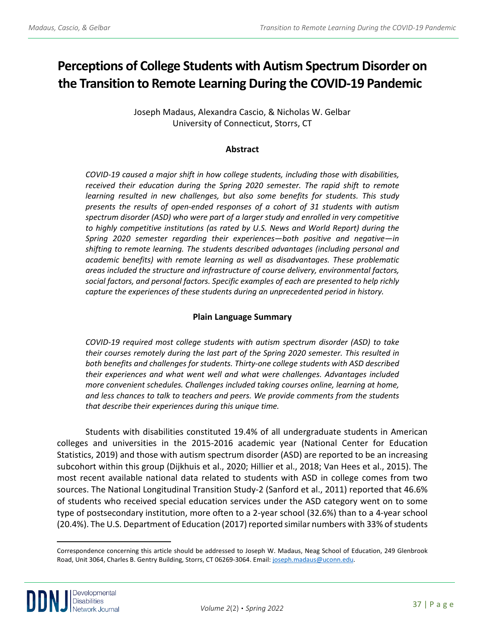## **Perceptions of College Students with Autism Spectrum Disorder on the Transition to Remote Learning During the COVID-19 Pandemic[a](#page-1-0)**

Joseph Madaus, Alexandra Cascio, & Nicholas W. Gelbar University of Connecticut, Storrs, CT

## **Abstract**

*COVID-19 caused a major shift in how college students, including those with disabilities, received their education during the Spring 2020 semester. The rapid shift to remote learning resulted in new challenges, but also some benefits for students. This study presents the results of open-ended responses of a cohort of 31 students with autism spectrum disorder (ASD) who were part of a larger study and enrolled in very competitive to highly competitive institutions (as rated by U.S. News and World Report) during the Spring 2020 semester regarding their experiences—both positive and negative—in shifting to remote learning. The students described advantages (including personal and academic benefits) with remote learning as well as disadvantages. These problematic areas included the structure and infrastructure of course delivery, environmental factors, social factors, and personal factors. Specific examples of each are presented to help richly capture the experiences of these students during an unprecedented period in history.*

## **Plain Language Summary**

*COVID-19 required most college students with autism spectrum disorder (ASD) to take their courses remotely during the last part of the Spring 2020 semester. This resulted in both benefits and challenges for students. Thirty-one college students with ASD described their experiences and what went well and what were challenges. Advantages included more convenient schedules. Challenges included taking courses online, learning at home, and less chances to talk to teachers and peers. We provide comments from the students that describe their experiences during this unique time.*

Students with disabilities constituted 19.4% of all undergraduate students in American colleges and universities in the 2015-2016 academic year (National Center for Education Statistics, 2019) and those with autism spectrum disorder (ASD) are reported to be an increasing subcohort within this group (Dijkhuis et al., 2020; Hillier et al., 2018; Van Hees et al., 2015). The most recent available national data related to students with ASD in college comes from two sources. The National Longitudinal Transition Study-2 (Sanford et al., 2011) reported that 46.6% of students who received special education services under the ASD category went on to some type of postsecondary institution, more often to a 2-year school (32.6%) than to a 4-year school (20.4%). The U.S. Department of Education (2017) reported similar numbers with 33% of students

<span id="page-1-0"></span><sup>a</sup> Correspondence concerning this article should be addressed to Joseph W. Madaus, Neag School of Education, 249 Glenbrook Road, Unit 3064, Charles B. Gentry Building, Storrs, CT 06269-3064. Email: [joseph.madaus@uconn.edu.](mailto:joseph.madaus@uconn.edu) 

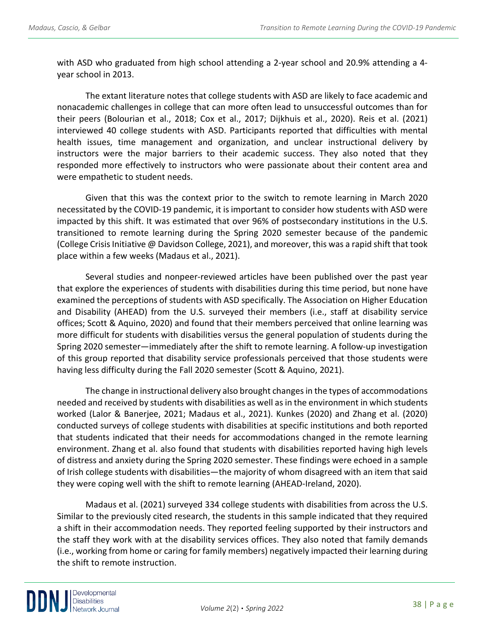with ASD who graduated from high school attending a 2-year school and 20.9% attending a 4 year school in 2013.

The extant literature notes that college students with ASD are likely to face academic and nonacademic challenges in college that can more often lead to unsuccessful outcomes than for their peers (Bolourian et al., 2018; Cox et al., 2017; Dijkhuis et al., 2020). Reis et al. (2021) interviewed 40 college students with ASD. Participants reported that difficulties with mental health issues, time management and organization, and unclear instructional delivery by instructors were the major barriers to their academic success. They also noted that they responded more effectively to instructors who were passionate about their content area and were empathetic to student needs.

Given that this was the context prior to the switch to remote learning in March 2020 necessitated by the COVID-19 pandemic, it is important to consider how students with ASD were impacted by this shift. It was estimated that over 96% of postsecondary institutions in the U.S. transitioned to remote learning during the Spring 2020 semester because of the pandemic (College Crisis Initiative @ Davidson College, 2021), and moreover, this was a rapid shift that took place within a few weeks (Madaus et al., 2021).

Several studies and nonpeer-reviewed articles have been published over the past year that explore the experiences of students with disabilities during this time period, but none have examined the perceptions of students with ASD specifically. The Association on Higher Education and Disability (AHEAD) from the U.S. surveyed their members (i.e., staff at disability service offices; Scott & Aquino, 2020) and found that their members perceived that online learning was more difficult for students with disabilities versus the general population of students during the Spring 2020 semester—immediately after the shift to remote learning. A follow-up investigation of this group reported that disability service professionals perceived that those students were having less difficulty during the Fall 2020 semester (Scott & Aquino, 2021).

The change in instructional delivery also brought changes in the types of accommodations needed and received by students with disabilities as well as in the environment in which students worked (Lalor & Banerjee, 2021; Madaus et al., 2021). Kunkes (2020) and Zhang et al. (2020) conducted surveys of college students with disabilities at specific institutions and both reported that students indicated that their needs for accommodations changed in the remote learning environment. Zhang et al. also found that students with disabilities reported having high levels of distress and anxiety during the Spring 2020 semester. These findings were echoed in a sample of Irish college students with disabilities—the majority of whom disagreed with an item that said they were coping well with the shift to remote learning (AHEAD-Ireland, 2020).

Madaus et al. (2021) surveyed 334 college students with disabilities from across the U.S. Similar to the previously cited research, the students in this sample indicated that they required a shift in their accommodation needs. They reported feeling supported by their instructors and the staff they work with at the disability services offices. They also noted that family demands (i.e., working from home or caring for family members) negatively impacted their learning during the shift to remote instruction.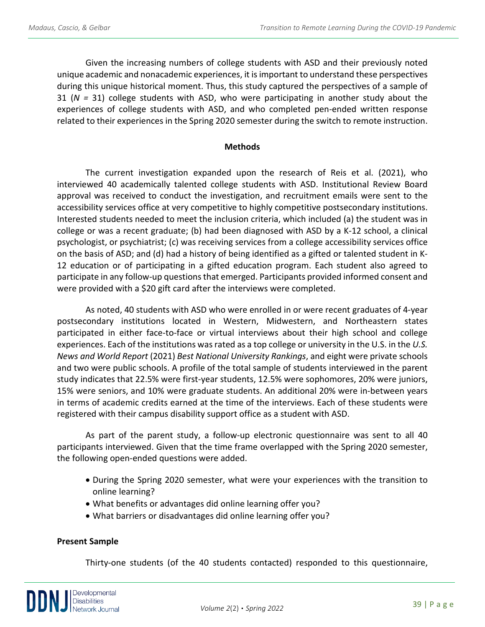Given the increasing numbers of college students with ASD and their previously noted unique academic and nonacademic experiences, it is important to understand these perspectives during this unique historical moment. Thus, this study captured the perspectives of a sample of 31 (*N =* 31) college students with ASD, who were participating in another study about the experiences of college students with ASD, and who completed pen-ended written response related to their experiences in the Spring 2020 semester during the switch to remote instruction.

#### **Methods**

The current investigation expanded upon the research of Reis et al. (2021), who interviewed 40 academically talented college students with ASD. Institutional Review Board approval was received to conduct the investigation, and recruitment emails were sent to the accessibility services office at very competitive to highly competitive postsecondary institutions. Interested students needed to meet the inclusion criteria, which included (a) the student was in college or was a recent graduate; (b) had been diagnosed with ASD by a K-12 school, a clinical psychologist, or psychiatrist; (c) was receiving services from a college accessibility services office on the basis of ASD; and (d) had a history of being identified as a gifted or talented student in K-12 education or of participating in a gifted education program. Each student also agreed to participate in any follow-up questions that emerged. Participants provided informed consent and were provided with a \$20 gift card after the interviews were completed.

As noted, 40 students with ASD who were enrolled in or were recent graduates of 4-year postsecondary institutions located in Western, Midwestern, and Northeastern states participated in either face-to-face or virtual interviews about their high school and college experiences. Each of the institutions was rated as a top college or university in the U.S. in the *U.S. News and World Report* (2021) *Best National University Rankings*, and eight were private schools and two were public schools. A profile of the total sample of students interviewed in the parent study indicates that 22.5% were first-year students, 12.5% were sophomores, 20% were juniors, 15% were seniors, and 10% were graduate students. An additional 20% were in-between years in terms of academic credits earned at the time of the interviews. Each of these students were registered with their campus disability support office as a student with ASD.

As part of the parent study, a follow-up electronic questionnaire was sent to all 40 participants interviewed. Given that the time frame overlapped with the Spring 2020 semester, the following open-ended questions were added.

- During the Spring 2020 semester, what were your experiences with the transition to online learning?
- What benefits or advantages did online learning offer you?
- What barriers or disadvantages did online learning offer you?

#### **Present Sample**

Thirty-one students (of the 40 students contacted) responded to this questionnaire,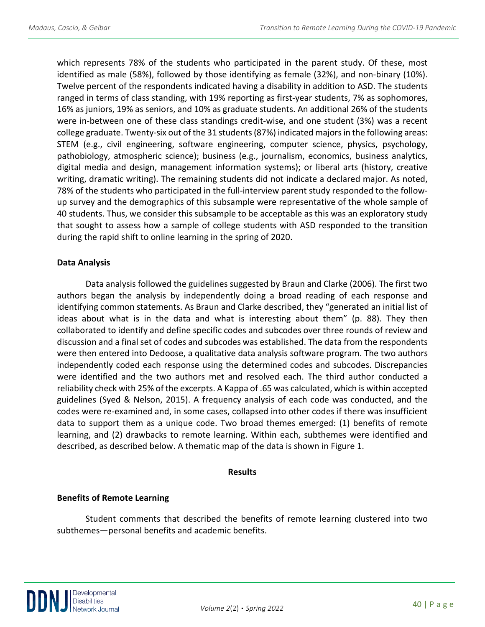which represents 78% of the students who participated in the parent study. Of these, most identified as male (58%), followed by those identifying as female (32%), and non-binary (10%). Twelve percent of the respondents indicated having a disability in addition to ASD. The students ranged in terms of class standing, with 19% reporting as first-year students, 7% as sophomores, 16% as juniors, 19% as seniors, and 10% as graduate students. An additional 26% of the students were in-between one of these class standings credit-wise, and one student (3%) was a recent college graduate. Twenty-six out of the 31 students (87%) indicated majors in the following areas: STEM (e.g., civil engineering, software engineering, computer science, physics, psychology, pathobiology, atmospheric science); business (e.g., journalism, economics, business analytics, digital media and design, management information systems); or liberal arts (history, creative writing, dramatic writing). The remaining students did not indicate a declared major. As noted, 78% of the students who participated in the full-interview parent study responded to the followup survey and the demographics of this subsample were representative of the whole sample of 40 students. Thus, we consider this subsample to be acceptable as this was an exploratory study that sought to assess how a sample of college students with ASD responded to the transition during the rapid shift to online learning in the spring of 2020.

#### **Data Analysis**

Data analysis followed the guidelines suggested by Braun and Clarke (2006). The first two authors began the analysis by independently doing a broad reading of each response and identifying common statements. As Braun and Clarke described, they "generated an initial list of ideas about what is in the data and what is interesting about them" (p. 88). They then collaborated to identify and define specific codes and subcodes over three rounds of review and discussion and a final set of codes and subcodes was established. The data from the respondents were then entered into Dedoose, a qualitative data analysis software program. The two authors independently coded each response using the determined codes and subcodes. Discrepancies were identified and the two authors met and resolved each. The third author conducted a reliability check with 25% of the excerpts. A Kappa of .65 was calculated, which is within accepted guidelines (Syed & Nelson, 2015). A frequency analysis of each code was conducted, and the codes were re-examined and, in some cases, collapsed into other codes if there was insufficient data to support them as a unique code. Two broad themes emerged: (1) benefits of remote learning, and (2) drawbacks to remote learning. Within each, subthemes were identified and described, as described below. A thematic map of the data is shown in Figure 1.

#### **Results**

## **Benefits of Remote Learning**

Student comments that described the benefits of remote learning clustered into two subthemes—personal benefits and academic benefits.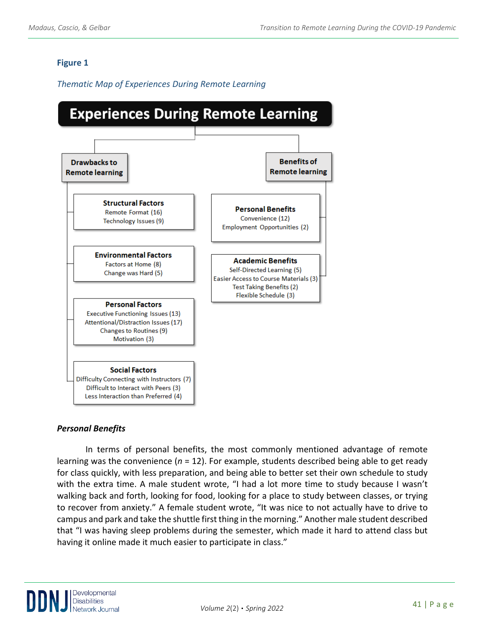## **Figure 1**

## *Thematic Map of Experiences During Remote Learning*



## *Personal Benefits*

In terms of personal benefits, the most commonly mentioned advantage of remote learning was the convenience (*n* = 12). For example, students described being able to get ready for class quickly, with less preparation, and being able to better set their own schedule to study with the extra time. A male student wrote, "I had a lot more time to study because I wasn't walking back and forth, looking for food, looking for a place to study between classes, or trying to recover from anxiety." A female student wrote, "It was nice to not actually have to drive to campus and park and take the shuttle first thing in the morning." Another male student described that "I was having sleep problems during the semester, which made it hard to attend class but having it online made it much easier to participate in class."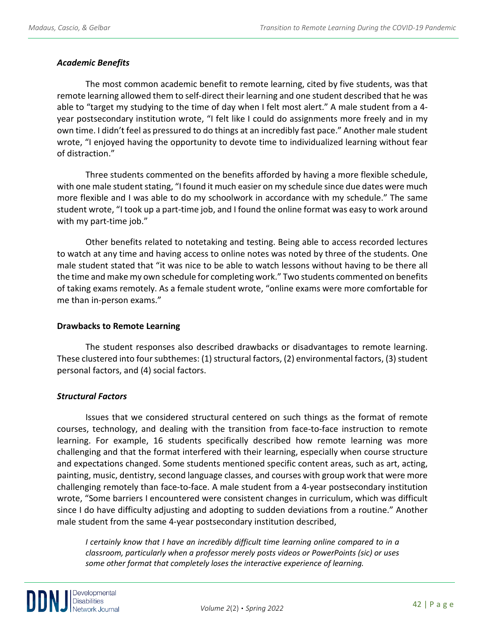## *Academic Benefits*

The most common academic benefit to remote learning, cited by five students, was that remote learning allowed them to self-direct their learning and one student described that he was able to "target my studying to the time of day when I felt most alert." A male student from a 4 year postsecondary institution wrote, "I felt like I could do assignments more freely and in my own time. I didn't feel as pressured to do things at an incredibly fast pace." Another male student wrote, "I enjoyed having the opportunity to devote time to individualized learning without fear of distraction."

Three students commented on the benefits afforded by having a more flexible schedule, with one male student stating, "I found it much easier on my schedule since due dates were much more flexible and I was able to do my schoolwork in accordance with my schedule." The same student wrote, "I took up a part-time job, and I found the online format was easy to work around with my part-time job."

Other benefits related to notetaking and testing. Being able to access recorded lectures to watch at any time and having access to online notes was noted by three of the students. One male student stated that "it was nice to be able to watch lessons without having to be there all the time and make my own schedule for completing work." Two students commented on benefits of taking exams remotely. As a female student wrote, "online exams were more comfortable for me than in-person exams."

## **Drawbacks to Remote Learning**

The student responses also described drawbacks or disadvantages to remote learning. These clustered into four subthemes: (1) structural factors, (2) environmental factors, (3) student personal factors, and (4) social factors.

## *Structural Factors*

Issues that we considered structural centered on such things as the format of remote courses, technology, and dealing with the transition from face-to-face instruction to remote learning. For example, 16 students specifically described how remote learning was more challenging and that the format interfered with their learning, especially when course structure and expectations changed. Some students mentioned specific content areas, such as art, acting, painting, music, dentistry, second language classes, and courses with group work that were more challenging remotely than face-to-face. A male student from a 4-year postsecondary institution wrote, "Some barriers I encountered were consistent changes in curriculum, which was difficult since I do have difficulty adjusting and adopting to sudden deviations from a routine." Another male student from the same 4-year postsecondary institution described,

*I* certainly know that *I* have an incredibly difficult time learning online compared to in a *classroom, particularly when a professor merely posts videos or PowerPoints (sic) or uses some other format that completely loses the interactive experience of learning.*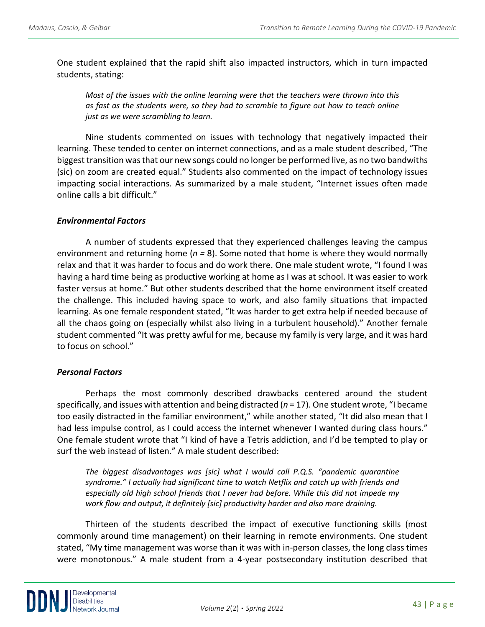One student explained that the rapid shift also impacted instructors, which in turn impacted students, stating:

*Most of the issues with the online learning were that the teachers were thrown into this as fast as the students were, so they had to scramble to figure out how to teach online just as we were scrambling to learn.*

Nine students commented on issues with technology that negatively impacted their learning. These tended to center on internet connections, and as a male student described, "The biggest transition was that our new songs could no longer be performed live, as no two bandwiths (sic) on zoom are created equal." Students also commented on the impact of technology issues impacting social interactions. As summarized by a male student, "Internet issues often made online calls a bit difficult."

#### *Environmental Factors*

A number of students expressed that they experienced challenges leaving the campus environment and returning home (*n =* 8). Some noted that home is where they would normally relax and that it was harder to focus and do work there. One male student wrote, "I found I was having a hard time being as productive working at home as I was at school. It was easier to work faster versus at home." But other students described that the home environment itself created the challenge. This included having space to work, and also family situations that impacted learning. As one female respondent stated, "It was harder to get extra help if needed because of all the chaos going on (especially whilst also living in a turbulent household)." Another female student commented "It was pretty awful for me, because my family is very large, and it was hard to focus on school."

#### *Personal Factors*

Perhaps the most commonly described drawbacks centered around the student specifically, and issues with attention and being distracted (*n* = 17). One student wrote, "I became too easily distracted in the familiar environment," while another stated, "It did also mean that I had less impulse control, as I could access the internet whenever I wanted during class hours." One female student wrote that "I kind of have a Tetris addiction, and I'd be tempted to play or surf the web instead of listen." A male student described:

*The biggest disadvantages was [sic] what I would call P.Q.S. "pandemic quarantine syndrome." I actually had significant time to watch Netflix and catch up with friends and especially old high school friends that I never had before. While this did not impede my work flow and output, it definitely [sic] productivity harder and also more draining.* 

Thirteen of the students described the impact of executive functioning skills (most commonly around time management) on their learning in remote environments. One student stated, "My time management was worse than it was with in-person classes, the long class times were monotonous." A male student from a 4-year postsecondary institution described that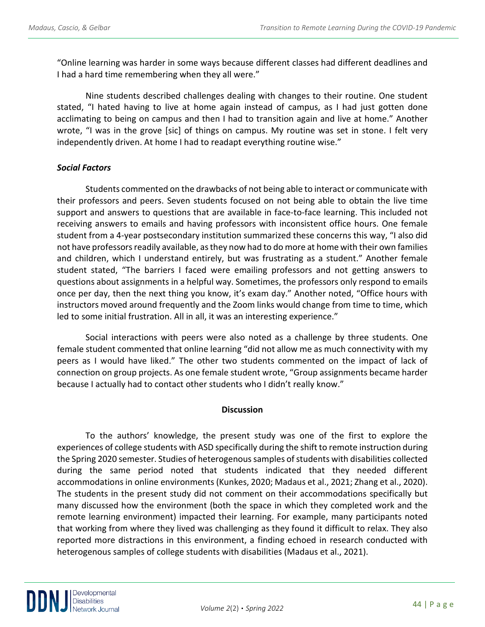"Online learning was harder in some ways because different classes had different deadlines and I had a hard time remembering when they all were."

Nine students described challenges dealing with changes to their routine. One student stated, "I hated having to live at home again instead of campus, as I had just gotten done acclimating to being on campus and then I had to transition again and live at home." Another wrote, "I was in the grove [sic] of things on campus. My routine was set in stone. I felt very independently driven. At home I had to readapt everything routine wise."

## *Social Factors*

Students commented on the drawbacks of not being able to interact or communicate with their professors and peers. Seven students focused on not being able to obtain the live time support and answers to questions that are available in face-to-face learning. This included not receiving answers to emails and having professors with inconsistent office hours. One female student from a 4-year postsecondary institution summarized these concerns this way, "I also did not have professors readily available, as they now had to do more at home with their own families and children, which I understand entirely, but was frustrating as a student." Another female student stated, "The barriers I faced were emailing professors and not getting answers to questions about assignments in a helpful way. Sometimes, the professors only respond to emails once per day, then the next thing you know, it's exam day." Another noted, "Office hours with instructors moved around frequently and the Zoom links would change from time to time, which led to some initial frustration. All in all, it was an interesting experience."

Social interactions with peers were also noted as a challenge by three students. One female student commented that online learning "did not allow me as much connectivity with my peers as I would have liked." The other two students commented on the impact of lack of connection on group projects. As one female student wrote, "Group assignments became harder because I actually had to contact other students who I didn't really know."

#### **Discussion**

To the authors' knowledge, the present study was one of the first to explore the experiences of college students with ASD specifically during the shift to remote instruction during the Spring 2020 semester. Studies of heterogenous samples of students with disabilities collected during the same period noted that students indicated that they needed different accommodations in online environments (Kunkes, 2020; Madaus et al., 2021; Zhang et al., 2020). The students in the present study did not comment on their accommodations specifically but many discussed how the environment (both the space in which they completed work and the remote learning environment) impacted their learning. For example, many participants noted that working from where they lived was challenging as they found it difficult to relax. They also reported more distractions in this environment, a finding echoed in research conducted with heterogenous samples of college students with disabilities (Madaus et al., 2021).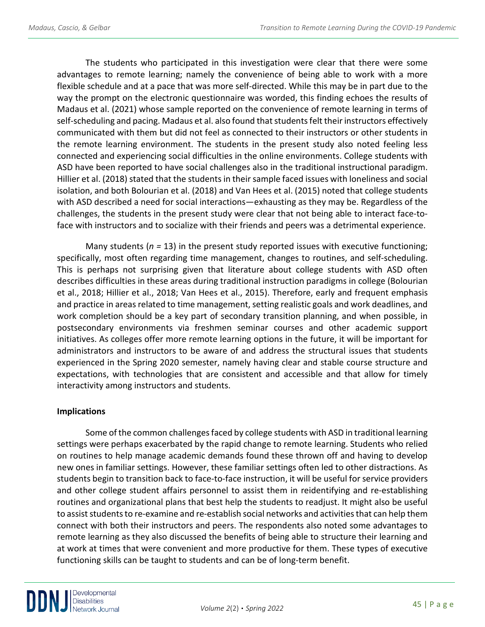The students who participated in this investigation were clear that there were some advantages to remote learning; namely the convenience of being able to work with a more flexible schedule and at a pace that was more self-directed. While this may be in part due to the way the prompt on the electronic questionnaire was worded, this finding echoes the results of Madaus et al. (2021) whose sample reported on the convenience of remote learning in terms of self-scheduling and pacing. Madaus et al. also found that students felt their instructors effectively communicated with them but did not feel as connected to their instructors or other students in the remote learning environment. The students in the present study also noted feeling less connected and experiencing social difficulties in the online environments. College students with ASD have been reported to have social challenges also in the traditional instructional paradigm. Hillier et al. (2018) stated that the students in their sample faced issues with loneliness and social isolation, and both Bolourian et al. (2018) and Van Hees et al. (2015) noted that college students with ASD described a need for social interactions—exhausting as they may be. Regardless of the challenges, the students in the present study were clear that not being able to interact face-toface with instructors and to socialize with their friends and peers was a detrimental experience.

Many students (*n =* 13) in the present study reported issues with executive functioning; specifically, most often regarding time management, changes to routines, and self-scheduling. This is perhaps not surprising given that literature about college students with ASD often describes difficulties in these areas during traditional instruction paradigms in college (Bolourian et al., 2018; Hillier et al., 2018; Van Hees et al., 2015). Therefore, early and frequent emphasis and practice in areas related to time management, setting realistic goals and work deadlines, and work completion should be a key part of secondary transition planning, and when possible, in postsecondary environments via freshmen seminar courses and other academic support initiatives. As colleges offer more remote learning options in the future, it will be important for administrators and instructors to be aware of and address the structural issues that students experienced in the Spring 2020 semester, namely having clear and stable course structure and expectations, with technologies that are consistent and accessible and that allow for timely interactivity among instructors and students.

## **Implications**

Some of the common challenges faced by college students with ASD in traditional learning settings were perhaps exacerbated by the rapid change to remote learning. Students who relied on routines to help manage academic demands found these thrown off and having to develop new ones in familiar settings. However, these familiar settings often led to other distractions. As students begin to transition back to face-to-face instruction, it will be useful for service providers and other college student affairs personnel to assist them in reidentifying and re-establishing routines and organizational plans that best help the students to readjust. It might also be useful to assist students to re-examine and re-establish social networks and activities that can help them connect with both their instructors and peers. The respondents also noted some advantages to remote learning as they also discussed the benefits of being able to structure their learning and at work at times that were convenient and more productive for them. These types of executive functioning skills can be taught to students and can be of long-term benefit.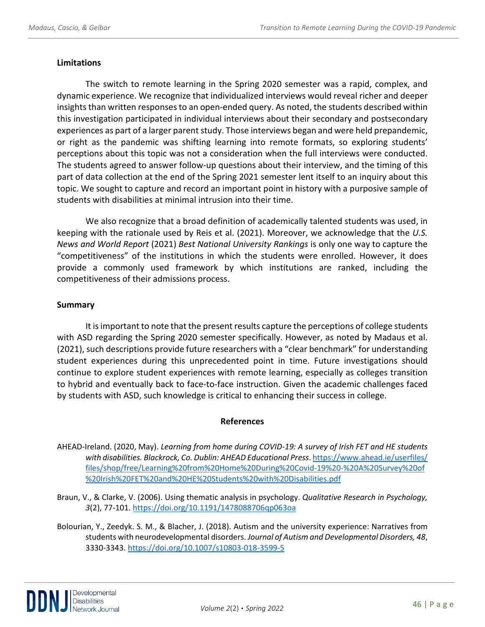## **Limitations**

The switch to remote learning in the Spring 2020 semester was a rapid, complex, and dynamic experience. We recognize that individualized interviews would reveal richer and deeper insights than written responses to an open-ended query. As noted, the students described within this investigation participated in individual interviews about their secondary and postsecondary experiences as part of a larger parent study. Those interviews began and were held prepandemic, or right as the pandemic was shifting learning into remote formats, so exploring students' perceptions about this topic was not a consideration when the full interviews were conducted. The students agreed to answer follow-up questions about their interview, and the timing of this part of data collection at the end of the Spring 2021 semester lent itself to an inquiry about this topic. We sought to capture and record an important point in history with a purposive sample of students with disabilities at minimal intrusion into their time.

We also recognize that a broad definition of academically talented students was used, in keeping with the rationale used by Reis et al. (2021). Moreover, we acknowledge that the *U.S. News and World Report* (2021) *Best National University Rankings* is only one way to capture the "competitiveness" of the institutions in which the students were enrolled. However, it does provide a commonly used framework by which institutions are ranked, including the competitiveness of their admissions process.

#### **Summary**

It is important to note that the present results capture the perceptions of college students with ASD regarding the Spring 2020 semester specifically. However, as noted by Madaus et al. (2021), such descriptions provide future researchers with a "clear benchmark" for understanding student experiences during this unprecedented point in time. Future investigations should continue to explore student experiences with remote learning, especially as colleges transition to hybrid and eventually back to face-to-face instruction. Given the academic challenges faced by students with ASD, such knowledge is critical to enhancing their success in college.

#### **References**

AHEAD-Ireland. (2020, May). *Learning from home during COVID-19: A survey of Irish FET and HE students with disabilities. Blackrock, Co. Dublin: AHEAD Educational Press*[. https://www.ahead.ie/userfiles/](https://www.ahead.ie/userfiles/%20files/shop/free/Learning%20from%20Home%20During%20Covid-19%20-%20A%20Survey%20of%20%20Irish%20FET%20and%20HE%20Students%20with%20Disabilities.pdf)  [files/shop/free/Learning%20from%20Home%20During%20Covid-19%20-%20A%20Survey%20of](https://www.ahead.ie/userfiles/%20files/shop/free/Learning%20from%20Home%20During%20Covid-19%20-%20A%20Survey%20of%20%20Irish%20FET%20and%20HE%20Students%20with%20Disabilities.pdf)  [%20Irish%20FET%20and%20HE%20Students%20with%20Disabilities.pdf](https://www.ahead.ie/userfiles/%20files/shop/free/Learning%20from%20Home%20During%20Covid-19%20-%20A%20Survey%20of%20%20Irish%20FET%20and%20HE%20Students%20with%20Disabilities.pdf)

- Braun, V., & Clarke, V. (2006). Using thematic analysis in psychology. *Qualitative Research in Psychology, 3*(2), 77-101[. https://doi.org/10.1191/1478088706qp063oa](https://doi.org/10.1191/1478088706qp063oa)
- Bolourian, Y., Zeedyk. S. M., & Blacher, J. (2018). Autism and the university experience: Narratives from students with neurodevelopmental disorders. *Journal of Autism and Developmental Disorders, 48*, 3330-3343.<https://doi.org/10.1007/s10803-018-3599-5>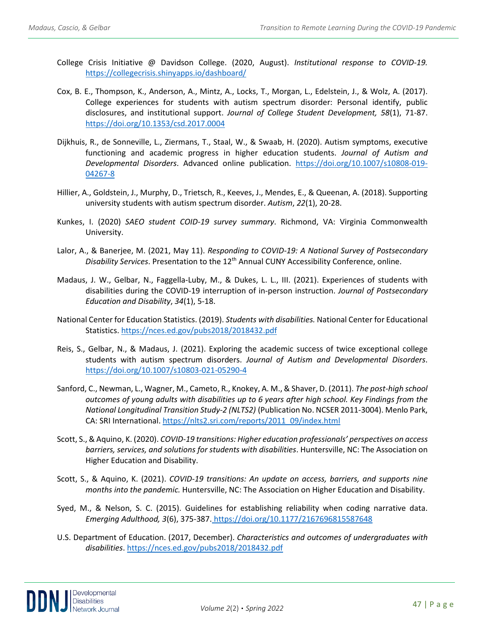- College Crisis Initiative @ Davidson College. (2020, August). *Institutional response to COVID-19.*  <https://collegecrisis.shinyapps.io/dashboard/>
- Cox, B. E., Thompson, K., Anderson, A., Mintz, A., Locks, T., Morgan, L., Edelstein, J., & Wolz, A. (2017). College experiences for students with autism spectrum disorder: Personal identify, public disclosures, and institutional support. *Journal of College Student Development, 58*(1), 71-87. <https://doi.org/10.1353/csd.2017.0004>
- Dijkhuis, R., de Sonneville, L., Ziermans, T., Staal, W., & Swaab, H. (2020). Autism symptoms, executive functioning and academic progress in higher education students. *Journal of Autism and Developmental Disorders*. Advanced online publication. [https://doi.org/10.1007/s10808-019-](https://doi.org/10.1007/s10808-019-04267-8) [04267-8](https://doi.org/10.1007/s10808-019-04267-8)
- Hillier, A., Goldstein, J., Murphy, D., Trietsch, R., Keeves, J., Mendes, E., & Queenan, A. (2018). Supporting university students with autism spectrum disorder. *Autism*, *22*(1), 20-28.
- Kunkes, I. (2020) *SAEO student COID-19 survey summary*. Richmond, VA: Virginia Commonwealth University.
- Lalor, A., & Banerjee, M. (2021, May 11). *Responding to COVID-19: A National Survey of Postsecondary Disability Services*. Presentation to the 12th Annual CUNY Accessibility Conference, online.
- Madaus, J. W., Gelbar, N., Faggella-Luby, M., & Dukes, L. L., III. (2021). Experiences of students with disabilities during the COVID-19 interruption of in-person instruction. *Journal of Postsecondary Education and Disability*, *34*(1), 5-18.
- National Center for Education Statistics. (2019). *Students with disabilities.* National Center for Educational Statistics.<https://nces.ed.gov/pubs2018/2018432.pdf>
- Reis, S., Gelbar, N., & Madaus, J. (2021). Exploring the academic success of twice exceptional college students with autism spectrum disorders. *Journal of Autism and Developmental Disorders*. <https://doi.org/10.1007/s10803-021-05290-4>
- Sanford, C., Newman, L., Wagner, M., Cameto, R., Knokey, A. M., & Shaver, D. (2011). *The post-high school outcomes of young adults with disabilities up to 6 years after high school. Key Findings from the National Longitudinal Transition Study-2 (NLTS2)* (Publication No. NCSER 2011-3004). Menlo Park, CA: SRI International[. https://nlts2.sri.com/reports/2011\\_09/index.html](https://nlts2.sri.com/reports/2011_09/index.html)
- Scott, S., & Aquino, K. (2020). *COVID-19 transitions: Higher education professionals' perspectives on access barriers, services, and solutions for students with disabilities*. Huntersville, NC: The Association on Higher Education and Disability.
- Scott, S., & Aquino, K. (2021). *COVID-19 transitions: An update on access, barriers, and supports nine months into the pandemic.* Huntersville, NC: The Association on Higher Education and Disability.
- Syed, M., & Nelson, S. C. (2015). Guidelines for establishing reliability when coding narrative data. *Emerging Adulthood, 3*(6), 375-387. <https://doi.org/10.1177/2167696815587648>
- U.S. Department of Education. (2017, December). *Characteristics and outcomes of undergraduates with disabilities*.<https://nces.ed.gov/pubs2018/2018432.pdf>